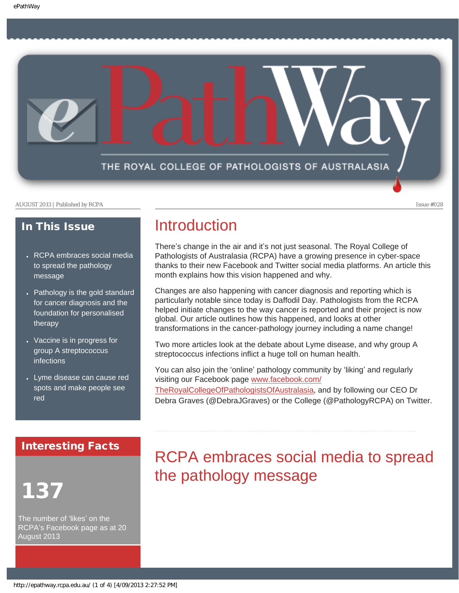

#### In This Issue

- [RCPA embraces social media](#page-0-0) [to spread the pathology](#page-0-0) [message](#page-0-0)
- [Pathology is the gold standard](#page-1-0) [for cancer diagnosis and the](#page-1-0) [foundation for personalised](#page-1-0) [therapy](#page-1-0)
- Vaccine is in progress for [group A streptococcus](#page-2-0) [infections](#page-2-0)
- Lyme disease can cause red [spots and make people see](#page-2-1)  [red](#page-2-1)

### <span id="page-0-0"></span>Interesting Facts

137

The number of 'likes' on the RCPA's Facebook page as at 20 August 2013

### Introduction

There's change in the air and it's not just seasonal. The Royal College of Pathologists of Australasia (RCPA) have a growing presence in cyber-space thanks to their new Facebook and Twitter social media platforms. An article this month explains how this vision happened and why.

Changes are also happening with cancer diagnosis and reporting which is particularly notable since today is Daffodil Day. Pathologists from the RCPA helped initiate changes to the way cancer is reported and their project is now global. Our article outlines how this happened, and looks at other transformations in the cancer-pathology journey including a name change!

Two more articles look at the debate about Lyme disease, and why group A streptococcus infections inflict a huge toll on human health.

You can also join the 'online' pathology community by 'liking' and regularly visiting our Facebook page [www.facebook.com/](http://www.facebook.com/TheRoyalCollegeOfPathologistsOfAustralasia) [TheRoyalCollegeOfPathologistsOfAustralasia](http://www.facebook.com/TheRoyalCollegeOfPathologistsOfAustralasia), and by following our CEO Dr Debra Graves (@DebraJGraves) or the College (@PathologyRCPA) on Twitter.

## RCPA embraces social media to spread the pathology message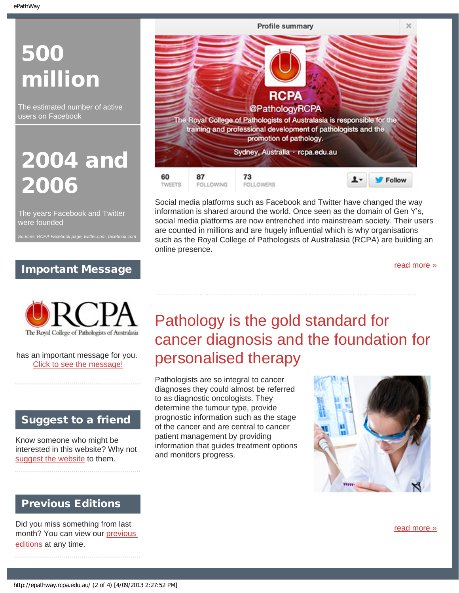# 500 million

The estimated number of active users on Facebook

# 2004 and 2006

The years Facebook and Twitter were founded

*Sources: RCPA Facebook page, twitter.com, facebook.com*

### Important Message

<span id="page-1-0"></span>

has an important message for you. [Click to see the message!](http://epathway.rcpa.edu.au/notice.html)

### Suggest to a friend

Know someone who might be interested in this website? Why not [suggest the website](mailto:?Subject=I%20think%20you%20should%20read%20this%20Newsletter=
http://epathway.rcpa.edu.au/index.html) to them.

### Profile summary **RCPA** @PathologyRCPA The Royal College of Pathologists of Australasia is responsible for the training and professional development of pathologists and the promotion of pathology. Sydney, Australia · rcpa.edu.au 60 87 73 ı٠ Follow **TWEETS** FOLLOWING FOLLOWERS

Social media platforms such as Facebook and Twitter have changed the way information is shared around the world. Once seen as the domain of Gen Y's, social media platforms are now entrenched into mainstream society. Their users are counted in millions and are hugely influential which is why organisations such as the Royal College of Pathologists of Australasia (RCPA) are building an online presence.

[read more »](#page-6-0)

## Pathology is the gold standard for cancer diagnosis and the foundation for personalised therapy

Pathologists are so integral to cancer diagnoses they could almost be referred to as diagnostic oncologists. They determine the tumour type, provide prognostic information such as the stage of the cancer and are central to cancer patient management by providing information that guides treatment options and monitors progress.



### Previous Editions

Did you miss something from last month? You can view our [previous](#page-4-0)  [editions](#page-4-0) at any time.

[read more »](#page-8-0)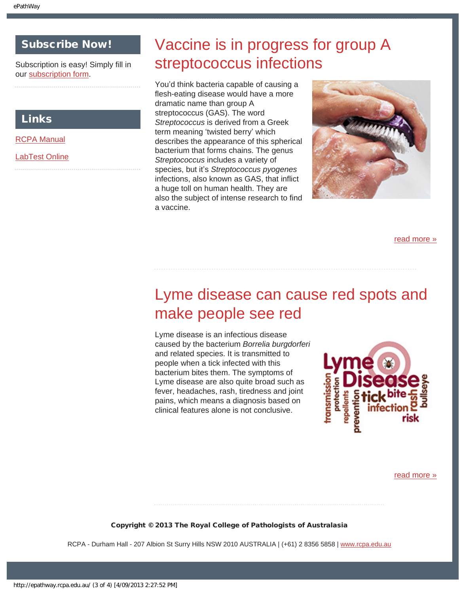### <span id="page-2-0"></span>Subscribe Now!

Subscription is easy! Simply fill in our [subscription form.](http://epathway.rcpa.edu.au/subscription.html)

#### Links

[RCPA Manual](http://rcpamanual.edu.au/)

<span id="page-2-1"></span>[LabTest Online](http://www.labtestsonline.org.au/)

### Vaccine is in progress for group A streptococcus infections

You'd think bacteria capable of causing a flesh-eating disease would have a more dramatic name than group A streptococcus (GAS). The word *Streptococcus* is derived from a Greek term meaning 'twisted berry' which describes the appearance of this spherical bacterium that forms chains. The genus *Streptococcus* includes a variety of species, but it's *Streptococcus pyogenes* infections, also known as GAS, that inflict a huge toll on human health. They are also the subject of intense research to find a vaccine.



[read more »](#page-11-0)

### Lyme disease can cause red spots and make people see red

Lyme disease is an infectious disease caused by the bacterium *Borrelia burgdorferi* and related species. It is transmitted to people when a tick infected with this bacterium bites them. The symptoms of Lyme disease are also quite broad such as fever, headaches, rash, tiredness and joint pains, which means a diagnosis based on clinical features alone is not conclusive.



[read more »](#page-13-0)

#### Copyright © 2013 The Royal College of Pathologists of Australasia

RCPA - Durham Hall - 207 Albion St Surry Hills NSW 2010 AUSTRALIA | (+61) 2 8356 5858 | [www.rcpa.edu.au](http://www.rcpa.edu.au/)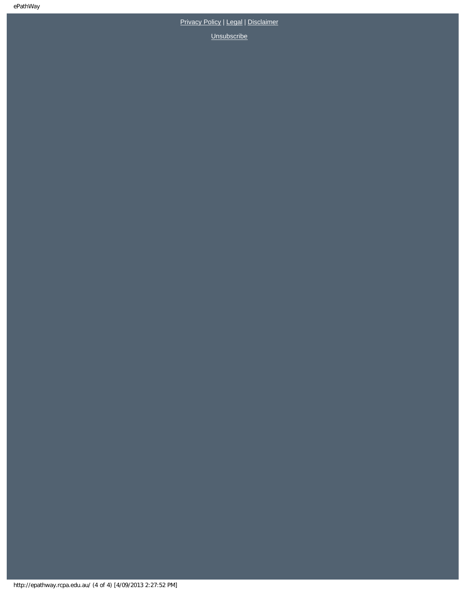[Privacy Policy](http://www.rcpa.edu.au/Privacy.htm) | [Legal](http://www.rcpa.edu.au/Legal.htm) | [Disclaimer](http://www.rcpa.edu.au/Disclaimer.htm)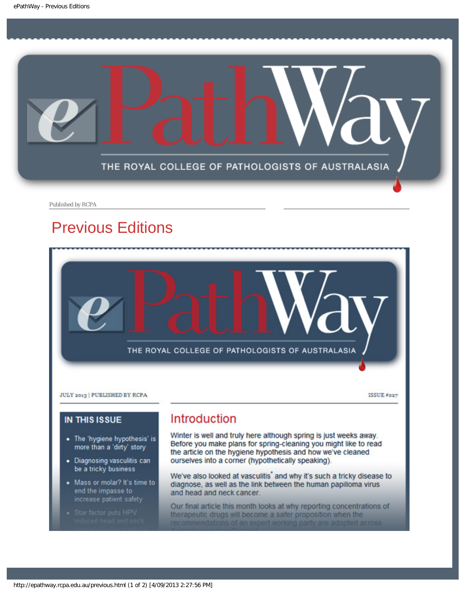<span id="page-4-0"></span>

Published by RCPA

### Previous Editions



recommendations of an expert working party are adopted across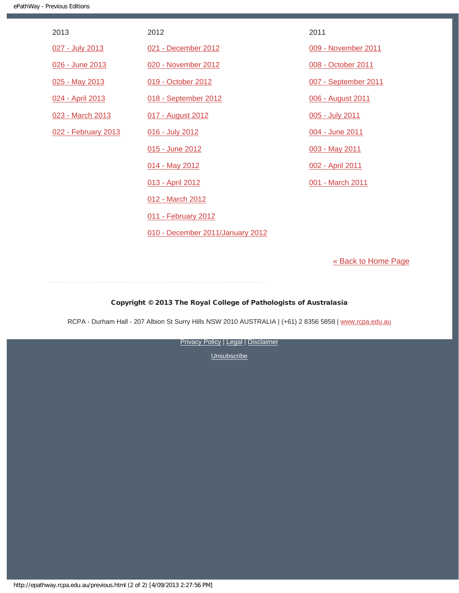| 2013                | 2012                             | 2011                 |
|---------------------|----------------------------------|----------------------|
| 027 - July 2013     | 021 - December 2012              | 009 - November 2011  |
| 026 - June 2013     | 020 - November 2012              | 008 - October 2011   |
| 025 - May 2013      | 019 - October 2012               | 007 - September 2011 |
| 024 - April 2013    | 018 - September 2012             | 006 - August 2011    |
| 023 - March 2013    | 017 - August 2012                | 005 - July 2011      |
| 022 - February 2013 | 016 - July 2012                  | 004 - June 2011      |
|                     | 015 - June 2012                  | 003 - May 2011       |
|                     | 014 - May 2012                   | 002 - April 2011     |
|                     | 013 - April 2012                 | 001 - March 2011     |
|                     | 012 - March 2012                 |                      |
|                     | 011 - February 2012              |                      |
|                     | 010 - December 2011/January 2012 |                      |

[« Back to Home Page](http://epathway.rcpa.edu.au/index.html)

#### Copyright © 2013 The Royal College of Pathologists of Australasia

RCPA - Durham Hall - 207 Albion St Surry Hills NSW 2010 AUSTRALIA | (+61) 2 8356 5858 | [www.rcpa.edu.au](http://www.rcpa.edu.au/)

[Privacy Policy](http://www.rcpa.edu.au/Privacy.htm) | [Legal](http://www.rcpa.edu.au/Legal.htm) | [Disclaimer](http://www.rcpa.edu.au/Disclaimer.htm)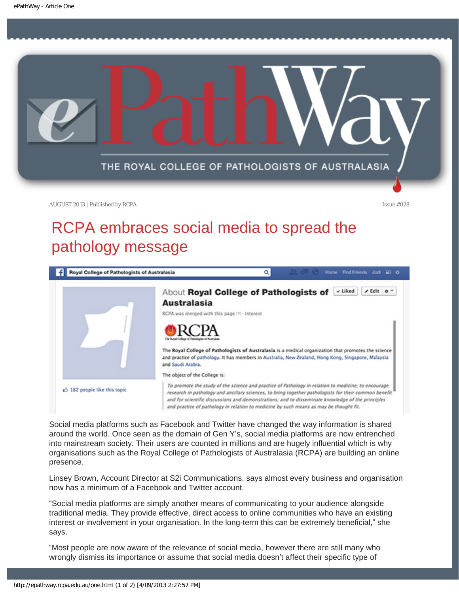<span id="page-6-0"></span>

## RCPA embraces social media to spread the pathology message



Social media platforms such as Facebook and Twitter have changed the way information is shared around the world. Once seen as the domain of Gen Y's, social media platforms are now entrenched into mainstream society. Their users are counted in millions and are hugely influential which is why organisations such as the Royal College of Pathologists of Australasia (RCPA) are building an online presence.

Linsey Brown, Account Director at S2i Communications, says almost every business and organisation now has a minimum of a Facebook and Twitter account.

"Social media platforms are simply another means of communicating to your audience alongside traditional media. They provide effective, direct access to online communities who have an existing interest or involvement in your organisation. In the long-term this can be extremely beneficial," she says.

"Most people are now aware of the relevance of social media, however there are still many who wrongly dismiss its importance or assume that social media doesn't affect their specific type of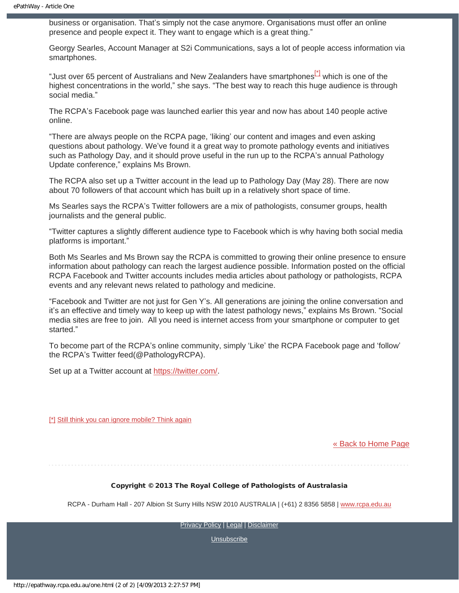business or organisation. That's simply not the case anymore. Organisations must offer an online presence and people expect it. They want to engage which is a great thing."

Georgy Searles, Account Manager at S2i Communications, says a lot of people access information via smartphones.

"Just over 65 percent of Australians and New Zealanders have smartphones<sup>[1]</sup> which is one of the highest concentrations in the world," she says. "The best way to reach this huge audience is through social media."

The RCPA's Facebook page was launched earlier this year and now has about 140 people active online.

"There are always people on the RCPA page, 'liking' our content and images and even asking questions about pathology. We've found it a great way to promote pathology events and initiatives such as Pathology Day, and it should prove useful in the run up to the RCPA's annual Pathology Update conference," explains Ms Brown.

The RCPA also set up a Twitter account in the lead up to Pathology Day (May 28). There are now about 70 followers of that account which has built up in a relatively short space of time.

Ms Searles says the RCPA's Twitter followers are a mix of pathologists, consumer groups, health journalists and the general public.

"Twitter captures a slightly different audience type to Facebook which is why having both social media platforms is important."

Both Ms Searles and Ms Brown say the RCPA is committed to growing their online presence to ensure information about pathology can reach the largest audience possible. Information posted on the official RCPA Facebook and Twitter accounts includes media articles about pathology or pathologists, RCPA events and any relevant news related to pathology and medicine.

"Facebook and Twitter are not just for Gen Y's. All generations are joining the online conversation and it's an effective and timely way to keep up with the latest pathology news," explains Ms Brown. "Social media sites are free to join. All you need is internet access from your smartphone or computer to get started."

To become part of the RCPA's online community, simply 'Like' the RCPA Facebook page and 'follow' the RCPA's Twitter feed(@PathologyRCPA).

Set up at a Twitter account at <https://twitter.com/>.

[\*] [Still think you can ignore mobile? Think again](http://www.adnews.com.au/adnews/still-think-you-can-ignore-mobile-think-again)

[« Back to Home Page](http://epathway.rcpa.edu.au/index.html)

#### Copyright © 2013 The Royal College of Pathologists of Australasia

RCPA - Durham Hall - 207 Albion St Surry Hills NSW 2010 AUSTRALIA | (+61) 2 8356 5858 | [www.rcpa.edu.au](http://www.rcpa.edu.au/)

[Privacy Policy](http://www.rcpa.edu.au/Privacy.htm) | [Legal](http://www.rcpa.edu.au/Legal.htm) | [Disclaimer](http://www.rcpa.edu.au/Disclaimer.htm)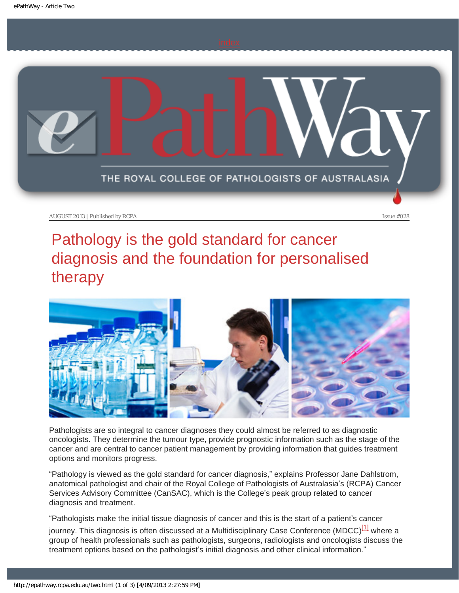<span id="page-8-0"></span>

AUGUST 2013 | Published by RCPA **Issue #028** Issue #028

### Pathology is the gold standard for cancer diagnosis and the foundation for personalised therapy



Pathologists are so integral to cancer diagnoses they could almost be referred to as diagnostic oncologists. They determine the tumour type, provide prognostic information such as the stage of the cancer and are central to cancer patient management by providing information that guides treatment options and monitors progress.

"Pathology is viewed as the gold standard for cancer diagnosis," explains Professor Jane Dahlstrom, anatomical pathologist and chair of the Royal College of Pathologists of Australasia's (RCPA) Cancer Services Advisory Committee (CanSAC), which is the College's peak group related to cancer diagnosis and treatment.

"Pathologists make the initial tissue diagnosis of cancer and this is the start of a patient's cancer

<span id="page-8-1"></span>journey. This diagnosis is often discussed at a Multidisciplinary Case Conference (MDCC)<sup>[1]</sup> where a group of health professionals such as pathologists, surgeons, radiologists and oncologists discuss the treatment options based on the pathologist's initial diagnosis and other clinical information."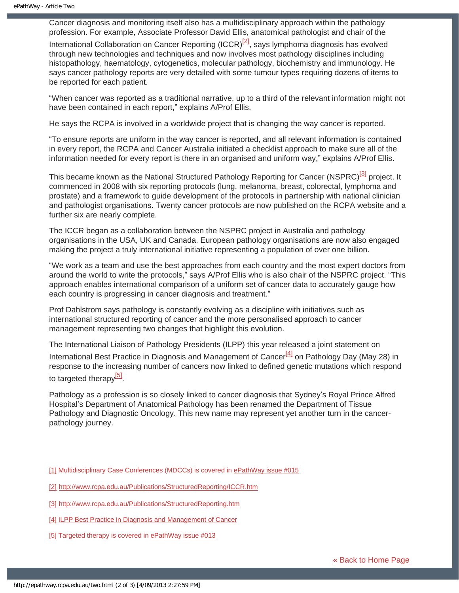<span id="page-9-5"></span>Cancer diagnosis and monitoring itself also has a multidisciplinary approach within the pathology profession. For example, Associate Professor David Ellis, anatomical pathologist and chair of the International Collaboration on Cancer Reporting (ICCR)<sup>[2]</sup>, says lymphoma diagnosis has evolved through new technologies and techniques and now involves most pathology disciplines including histopathology, haematology, cytogenetics, molecular pathology, biochemistry and immunology. He says cancer pathology reports are very detailed with some tumour types requiring dozens of items to be reported for each patient.

"When cancer was reported as a traditional narrative, up to a third of the relevant information might not have been contained in each report," explains A/Prof Ellis.

He says the RCPA is involved in a worldwide project that is changing the way cancer is reported.

"To ensure reports are uniform in the way cancer is reported, and all relevant information is contained in every report, the RCPA and Cancer Australia initiated a checklist approach to make sure all of the information needed for every report is there in an organised and uniform way," explains A/Prof Ellis.

<span id="page-9-6"></span>This became known as the National Structured Pathology Reporting for Cancer (NSPRC)<sup>[\[3\]](#page-9-2)</sup> proiect. It commenced in 2008 with six reporting protocols (lung, melanoma, breast, colorectal, lymphoma and prostate) and a framework to guide development of the protocols in partnership with national clinician and pathologist organisations. Twenty cancer protocols are now published on the RCPA website and a further six are nearly complete.

The ICCR began as a collaboration between the NSPRC project in Australia and pathology organisations in the USA, UK and Canada. European pathology organisations are now also engaged making the project a truly international initiative representing a population of over one billion.

"We work as a team and use the best approaches from each country and the most expert doctors from around the world to write the protocols," says A/Prof Ellis who is also chair of the NSPRC project. "This approach enables international comparison of a uniform set of cancer data to accurately gauge how each country is progressing in cancer diagnosis and treatment."

Prof Dahlstrom says pathology is constantly evolving as a discipline with initiatives such as international structured reporting of cancer and the more personalised approach to cancer management representing two changes that highlight this evolution.

<span id="page-9-7"></span>The International Liaison of Pathology Presidents (ILPP) this year released a joint statement on International Best Practice in Diagnosis and Management of Cancer $\frac{[4]}{[4]}$  $\frac{[4]}{[4]}$  $\frac{[4]}{[4]}$  on Pathology Day (May 28) in response to the increasing number of cancers now linked to defined genetic mutations which respond to targeted therapy<sup>[5]</sup>.

<span id="page-9-8"></span>Pathology as a profession is so closely linked to cancer diagnosis that Sydney's Royal Prince Alfred Hospital's Department of Anatomical Pathology has been renamed the Department of Tissue Pathology and Diagnostic Oncology. This new name may represent yet another turn in the cancerpathology journey.

<span id="page-9-1"></span>[\[2\]](#page-9-5) <http://www.rcpa.edu.au/Publications/StructuredReporting/ICCR.htm>

- <span id="page-9-2"></span>[\[3\]](#page-9-6) <http://www.rcpa.edu.au/Publications/StructuredReporting.htm>
- <span id="page-9-3"></span>[\[4\]](#page-9-7) [ILPP Best Practice in Diagnosis and Management of Cancer](http://www.rcpa.edu.au/static/file/Asset%20library/public%20documents/Policy%20Manual/Position%20Statements/ILPP%20Joint%20Statement%20on%20International%20Best%20Practice%20in%20Diagnosis%20and%20Man.pdf)
- <span id="page-9-4"></span>[\[5\]](#page-9-8) Targeted therapy is covered in [ePathWay issue #013](http://epathway.rcpa.edu.au/previous/013_0412.pdf)

<span id="page-9-0"></span>[<sup>\[1\]</sup>](#page-8-1) Multidisciplinary Case Conferences (MDCCs) is covered in [ePathWay issue #015](http://epathway.rcpa.edu.au/previous/015_0612.pdf)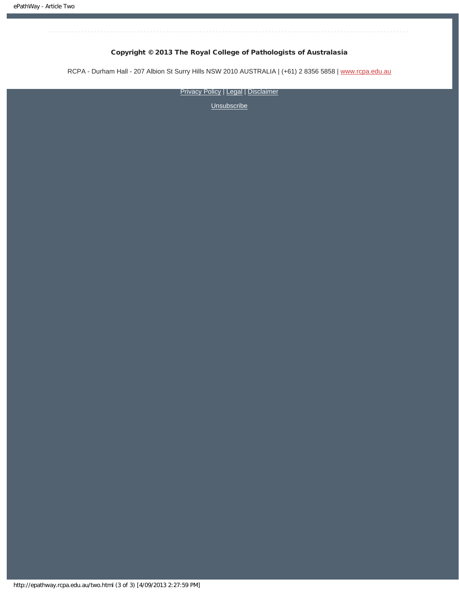#### Copyright © 2013 The Royal College of Pathologists of Australasia

RCPA - Durham Hall - 207 Albion St Surry Hills NSW 2010 AUSTRALIA | (+61) 2 8356 5858 | [www.rcpa.edu.au](http://www.rcpa.edu.au/)

**[Privacy Policy](http://www.rcpa.edu.au/Privacy.htm) | [Legal](http://www.rcpa.edu.au/Legal.htm) | [Disclaimer](http://www.rcpa.edu.au/Disclaimer.htm)**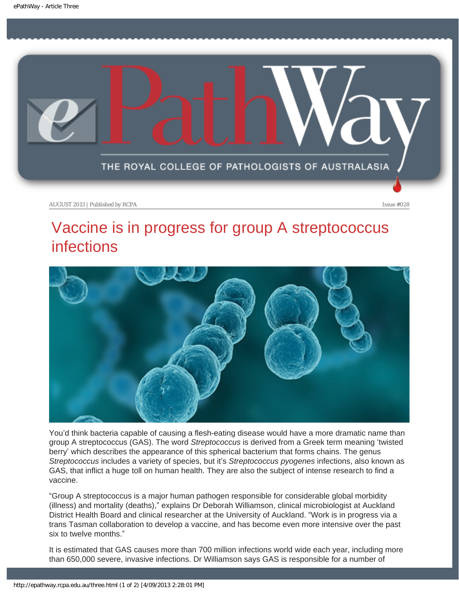<span id="page-11-0"></span>

### Vaccine is in progress for group A streptococcus infections



You'd think bacteria capable of causing a flesh-eating disease would have a more dramatic name than group A streptococcus (GAS). The word *Streptococcus* is derived from a Greek term meaning 'twisted berry' which describes the appearance of this spherical bacterium that forms chains. The genus *Streptococcus* includes a variety of species, but it's *Streptococcus pyogenes* infections, also known as GAS, that inflict a huge toll on human health. They are also the subject of intense research to find a vaccine.

"Group A streptococcus is a major human pathogen responsible for considerable global morbidity (illness) and mortality (deaths)," explains Dr Deborah Williamson, clinical microbiologist at Auckland District Health Board and clinical researcher at the University of Auckland. "Work is in progress via a trans Tasman collaboration to develop a vaccine, and has become even more intensive over the past six to twelve months."

It is estimated that GAS causes more than 700 million infections world wide each year, including more than 650,000 severe, invasive infections. Dr Williamson says GAS is responsible for a number of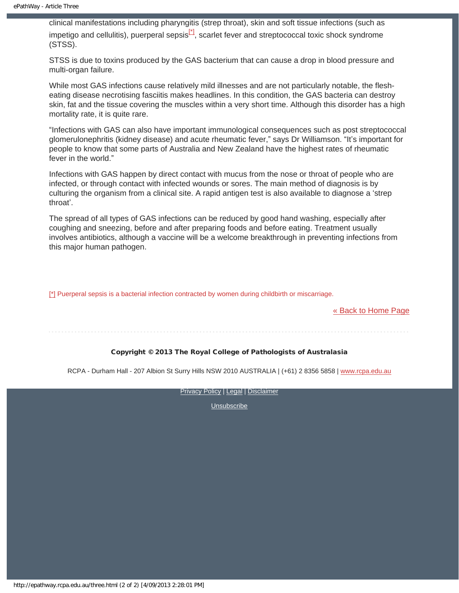<span id="page-12-1"></span>clinical manifestations including pharyngitis (strep throat), skin and soft tissue infections (such as impetigo and cellulitis), puerperal sepsis $\mathbb{I}$ , scarlet fever and streptococcal toxic shock syndrome (STSS).

STSS is due to toxins produced by the GAS bacterium that can cause a drop in blood pressure and multi-organ failure.

While most GAS infections cause relatively mild illnesses and are not particularly notable, the flesheating disease necrotising fasciitis makes headlines. In this condition, the GAS bacteria can destroy skin, fat and the tissue covering the muscles within a very short time. Although this disorder has a high mortality rate, it is quite rare.

"Infections with GAS can also have important immunological consequences such as post streptococcal glomerulonephritis (kidney disease) and acute rheumatic fever," says Dr Williamson. "It's important for people to know that some parts of Australia and New Zealand have the highest rates of rheumatic fever in the world."

Infections with GAS happen by direct contact with mucus from the nose or throat of people who are infected, or through contact with infected wounds or sores. The main method of diagnosis is by culturing the organism from a clinical site. A rapid antigen test is also available to diagnose a 'strep throat'.

The spread of all types of GAS infections can be reduced by good hand washing, especially after coughing and sneezing, before and after preparing foods and before eating. Treatment usually involves antibiotics, although a vaccine will be a welcome breakthrough in preventing infections from this major human pathogen.

<span id="page-12-0"></span>[\[\\*\]](#page-12-1) Puerperal sepsis is a bacterial infection contracted by women during childbirth or miscarriage.

[« Back to Home Page](http://epathway.rcpa.edu.au/index.html)

#### Copyright © 2013 The Royal College of Pathologists of Australasia

RCPA - Durham Hall - 207 Albion St Surry Hills NSW 2010 AUSTRALIA | (+61) 2 8356 5858 | [www.rcpa.edu.au](http://www.rcpa.edu.au/)

[Privacy Policy](http://www.rcpa.edu.au/Privacy.htm) | [Legal](http://www.rcpa.edu.au/Legal.htm) | [Disclaimer](http://www.rcpa.edu.au/Disclaimer.htm)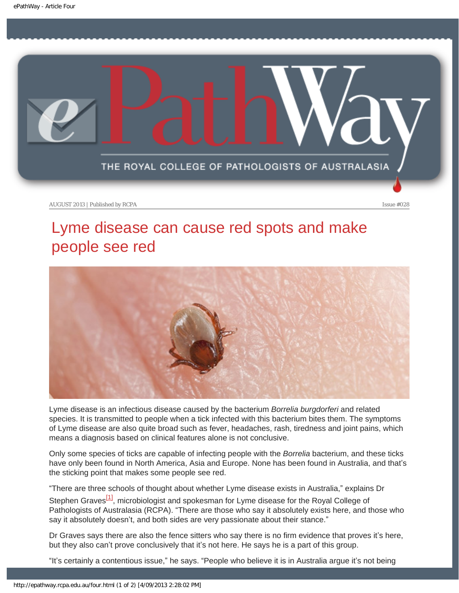<span id="page-13-0"></span>

### Lyme disease can cause red spots and make people see red



Lyme disease is an infectious disease caused by the bacterium *Borrelia burgdorferi* and related species. It is transmitted to people when a tick infected with this bacterium bites them. The symptoms of Lyme disease are also quite broad such as fever, headaches, rash, tiredness and joint pains, which means a diagnosis based on clinical features alone is not conclusive.

Only some species of ticks are capable of infecting people with the *Borrelia* bacterium, and these ticks have only been found in North America, Asia and Europe. None has been found in Australia, and that's the sticking point that makes some people see red.

"There are three schools of thought about whether Lyme disease exists in Australia," explains Dr Stephen Graves<sup>[1]</sup>, microbiologist and spokesman for Lyme disease for the Royal College of Pathologists of Australasia (RCPA). "There are those who say it absolutely exists here, and those who say it absolutely doesn't, and both sides are very passionate about their stance."

Dr Graves says there are also the fence sitters who say there is no firm evidence that proves it's here, but they also can't prove conclusively that it's not here. He says he is a part of this group.

"It's certainly a contentious issue," he says. "People who believe it is in Australia argue it's not being